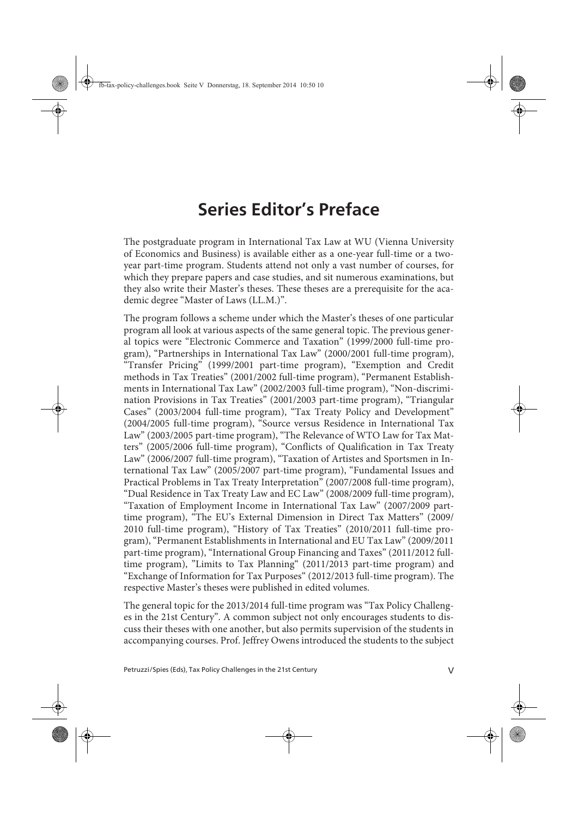## **Series Editor's Preface**

The postgraduate program in International Tax Law at WU (Vienna University of Economics and Business) is available either as a one-year full-time or a twoyear part-time program. Students attend not only a vast number of courses, for which they prepare papers and case studies, and sit numerous examinations, but they also write their Master's theses. These theses are a prerequisite for the academic degree "Master of Laws (LL.M.)".

The program follows a scheme under which the Master's theses of one particular program all look at various aspects of the same general topic. The previous general topics were "Electronic Commerce and Taxation" (1999/2000 full-time program), "Partnerships in International Tax Law" (2000/2001 full-time program), "Transfer Pricing" (1999/2001 part-time program), "Exemption and Credit methods in Tax Treaties" (2001/2002 full-time program), "Permanent Establishments in International Tax Law" (2002/2003 full-time program), "Non-discrimination Provisions in Tax Treaties" (2001/2003 part-time program), "Triangular Cases" (2003/2004 full-time program), "Tax Treaty Policy and Development" (2004/2005 full-time program), "Source versus Residence in International Tax Law" (2003/2005 part-time program), "The Relevance of WTO Law for Tax Matters" (2005/2006 full-time program), "Conflicts of Qualification in Tax Treaty Law" (2006/2007 full-time program), "Taxation of Artistes and Sportsmen in International Tax Law" (2005/2007 part-time program), "Fundamental Issues and Practical Problems in Tax Treaty Interpretation" (2007/2008 full-time program), "Dual Residence in Tax Treaty Law and EC Law" (2008/2009 full-time program), "Taxation of Employment Income in International Tax Law" (2007/2009 parttime program), "The EU's External Dimension in Direct Tax Matters" (2009/ 2010 full-time program), "History of Tax Treaties" (2010/2011 full-time program), "Permanent Establishments in International and EU Tax Law" (2009/2011 part-time program), "International Group Financing and Taxes" (2011/2012 fulltime program), "Limits to Tax Planning" (2011/2013 part-time program) and "Exchange of Information for Tax Purposes" (2012/2013 full-time program). The respective Master's theses were published in edited volumes.

The general topic for the 2013/2014 full-time program was "Tax Policy Challenges in the 21st Century". A common subject not only encourages students to discuss their theses with one another, but also permits supervision of the students in accompanying courses. Prof. Jeffrey Owens introduced the students to the subject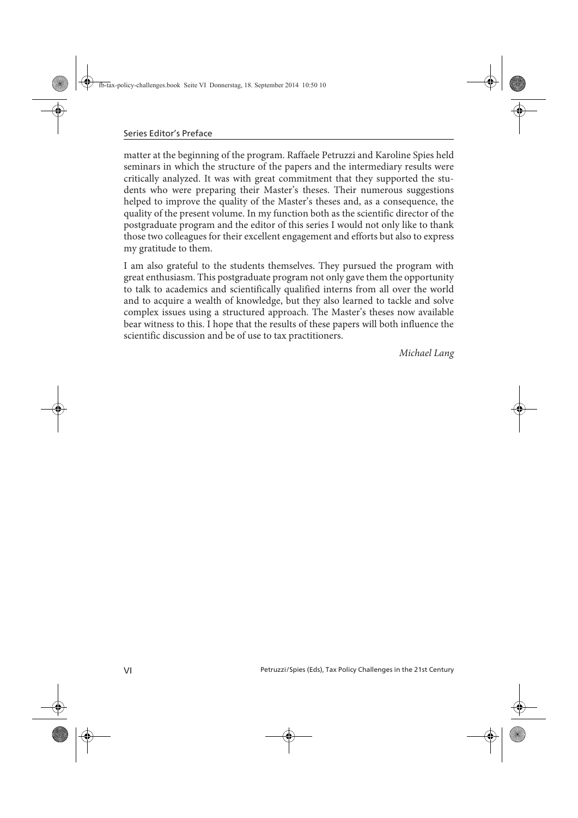matter at the beginning of the program. Raffaele Petruzzi and Karoline Spies held seminars in which the structure of the papers and the intermediary results were critically analyzed. It was with great commitment that they supported the students who were preparing their Master's theses. Their numerous suggestions helped to improve the quality of the Master's theses and, as a consequence, the quality of the present volume. In my function both as the scientific director of the postgraduate program and the editor of this series I would not only like to thank those two colleagues for their excellent engagement and efforts but also to express my gratitude to them.

I am also grateful to the students themselves. They pursued the program with great enthusiasm. This postgraduate program not only gave them the opportunity to talk to academics and scientifically qualified interns from all over the world and to acquire a wealth of knowledge, but they also learned to tackle and solve complex issues using a structured approach. The Master's theses now available bear witness to this. I hope that the results of these papers will both influence the scientific discussion and be of use to tax practitioners.

*Michael Lang*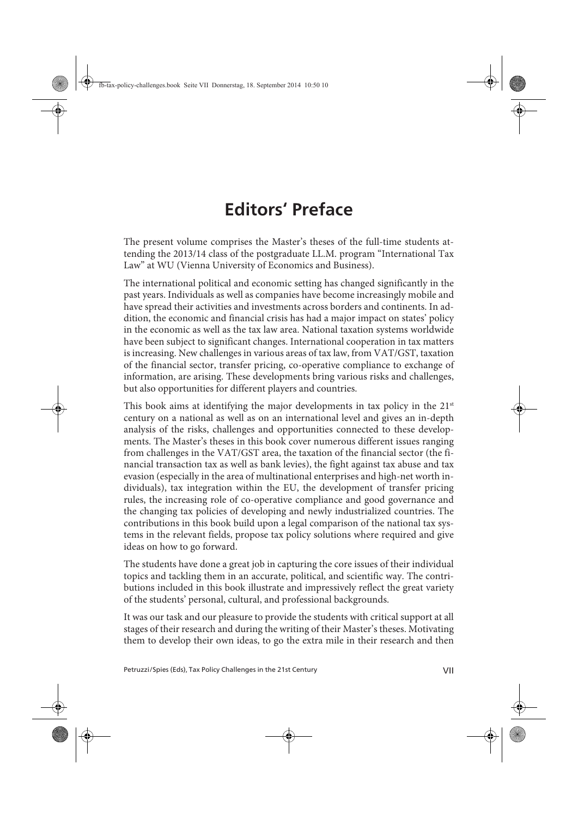## **Editors' Preface**

The present volume comprises the Master's theses of the full-time students attending the 2013/14 class of the postgraduate LL.M. program "International Tax Law" at WU (Vienna University of Economics and Business).

The international political and economic setting has changed significantly in the past years. Individuals as well as companies have become increasingly mobile and have spread their activities and investments across borders and continents. In addition, the economic and financial crisis has had a major impact on states' policy in the economic as well as the tax law area. National taxation systems worldwide have been subject to significant changes. International cooperation in tax matters is increasing. New challenges in various areas of tax law, from VAT/GST, taxation of the financial sector, transfer pricing, co-operative compliance to exchange of information, are arising. These developments bring various risks and challenges, but also opportunities for different players and countries.

This book aims at identifying the major developments in tax policy in the  $21<sup>st</sup>$ century on a national as well as on an international level and gives an in-depth analysis of the risks, challenges and opportunities connected to these developments. The Master's theses in this book cover numerous different issues ranging from challenges in the VAT/GST area, the taxation of the financial sector (the financial transaction tax as well as bank levies), the fight against tax abuse and tax evasion (especially in the area of multinational enterprises and high-net worth individuals), tax integration within the EU, the development of transfer pricing rules, the increasing role of co-operative compliance and good governance and the changing tax policies of developing and newly industrialized countries. The contributions in this book build upon a legal comparison of the national tax systems in the relevant fields, propose tax policy solutions where required and give ideas on how to go forward.

The students have done a great job in capturing the core issues of their individual topics and tackling them in an accurate, political, and scientific way. The contributions included in this book illustrate and impressively reflect the great variety of the students' personal, cultural, and professional backgrounds.

It was our task and our pleasure to provide the students with critical support at all stages of their research and during the writing of their Master's theses. Motivating them to develop their own ideas, to go the extra mile in their research and then